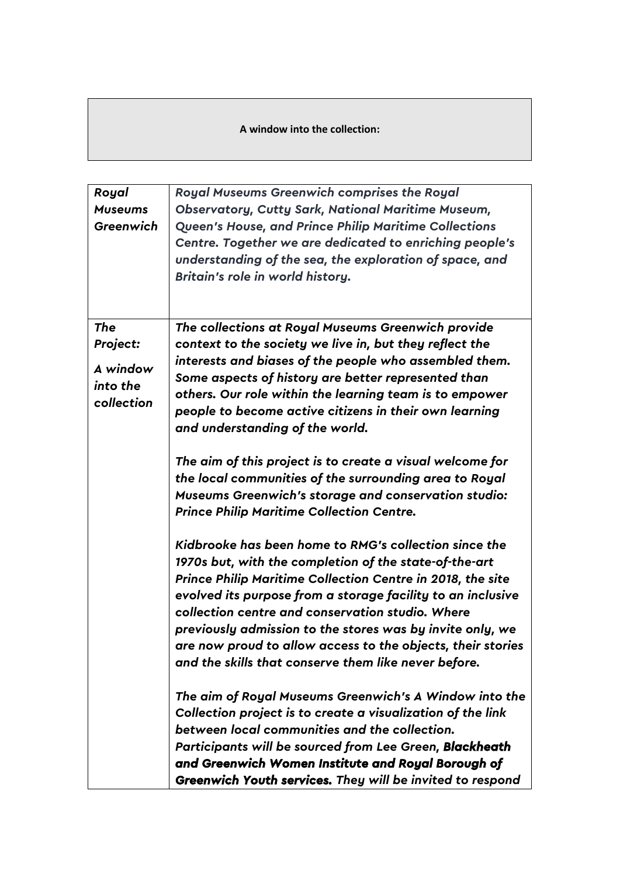**A window into the collection:** 

| Royal<br><b>Museums</b><br>Greenwich                         | Royal Museums Greenwich comprises the Royal<br><b>Observatory, Cutty Sark, National Maritime Museum,</b><br><b>Queen's House, and Prince Philip Maritime Collections</b><br>Centre. Together we are dedicated to enriching people's<br>understanding of the sea, the exploration of space, and<br>Britain's role in world history.                                                                                                                                                   |
|--------------------------------------------------------------|--------------------------------------------------------------------------------------------------------------------------------------------------------------------------------------------------------------------------------------------------------------------------------------------------------------------------------------------------------------------------------------------------------------------------------------------------------------------------------------|
| <b>The</b><br>Project:<br>A window<br>into the<br>collection | The collections at Royal Museums Greenwich provide<br>context to the society we live in, but they reflect the<br>interests and biases of the people who assembled them.<br>Some aspects of history are better represented than<br>others. Our role within the learning team is to empower<br>people to become active citizens in their own learning<br>and understanding of the world.                                                                                               |
|                                                              | The aim of this project is to create a visual welcome for<br>the local communities of the surrounding area to Royal<br><b>Museums Greenwich's storage and conservation studio:</b><br><b>Prince Philip Maritime Collection Centre.</b>                                                                                                                                                                                                                                               |
|                                                              | Kidbrooke has been home to RMG's collection since the<br>1970s but, with the completion of the state-of-the-art<br>Prince Philip Maritime Collection Centre in 2018, the site<br>evolved its purpose from a storage facility to an inclusive<br>collection centre and conservation studio. Where<br>previously admission to the stores was by invite only, we<br>are now proud to allow access to the objects, their stories<br>and the skills that conserve them like never before. |
|                                                              | The aim of Royal Museums Greenwich's A Window into the<br>Collection project is to create a visualization of the link<br>between local communities and the collection.<br>Participants will be sourced from Lee Green, Blackheath<br>and Greenwich Women Institute and Royal Borough of<br>Greenwich Youth services. They will be invited to respond                                                                                                                                 |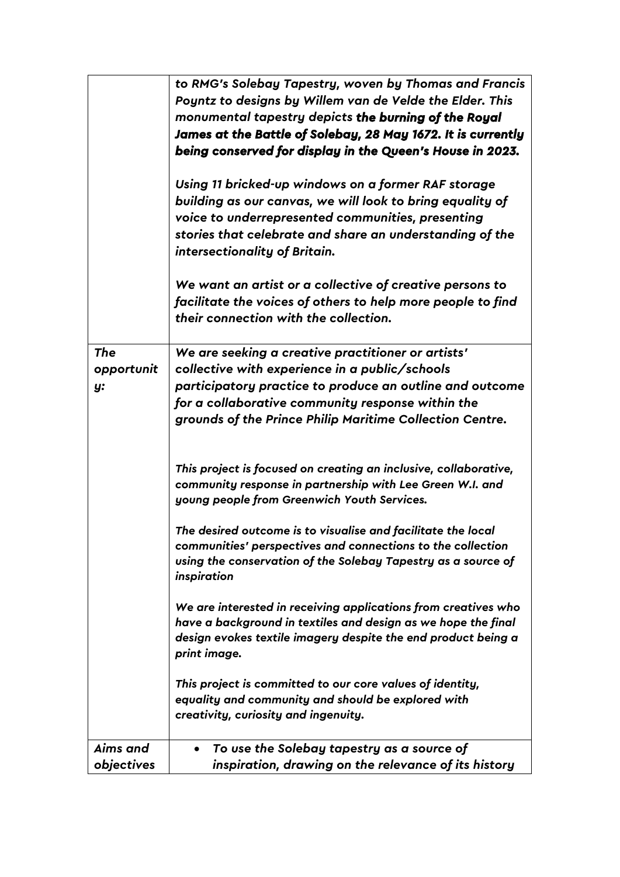|            | to RMG's Solebay Tapestry, woven by Thomas and Francis           |
|------------|------------------------------------------------------------------|
|            | Poyntz to designs by Willem van de Velde the Elder. This         |
|            | monumental tapestry depicts the burning of the Royal             |
|            | James at the Battle of Solebay, 28 May 1672. It is currently     |
|            | being conserved for display in the Queen's House in 2023.        |
|            |                                                                  |
|            | Using 11 bricked-up windows on a former RAF storage              |
|            | building as our canvas, we will look to bring equality of        |
|            | voice to underrepresented communities, presenting                |
|            | stories that celebrate and share an understanding of the         |
|            | intersectionality of Britain.                                    |
|            |                                                                  |
|            | We want an artist or a collective of creative persons to         |
|            | facilitate the voices of others to help more people to find      |
|            | their connection with the collection.                            |
|            |                                                                  |
| <b>The</b> | We are seeking a creative practitioner or artists'               |
| opportunit | collective with experience in a public/schools                   |
| y:         | participatory practice to produce an outline and outcome         |
|            | for a collaborative community response within the                |
|            | grounds of the Prince Philip Maritime Collection Centre.         |
|            |                                                                  |
|            |                                                                  |
|            | This project is focused on creating an inclusive, collaborative, |
|            | community response in partnership with Lee Green W.I. and        |
|            | young people from Greenwich Youth Services.                      |
|            | The desired outcome is to visualise and facilitate the local     |
|            | communities' perspectives and connections to the collection      |
|            | using the conservation of the Solebay Tapestry as a source of    |
|            | inspiration                                                      |
|            |                                                                  |
|            | We are interested in receiving applications from creatives who   |
|            | have a background in textiles and design as we hope the final    |
|            | design evokes textile imagery despite the end product being a    |
|            | print image.                                                     |
|            | This project is committed to our core values of identity,        |
|            | equality and community and should be explored with               |
|            | creativity, curiosity and ingenuity.                             |
| Aims and   | To use the Solebay tapestry as a source of<br>٠                  |
| objectives | inspiration, drawing on the relevance of its history             |
|            |                                                                  |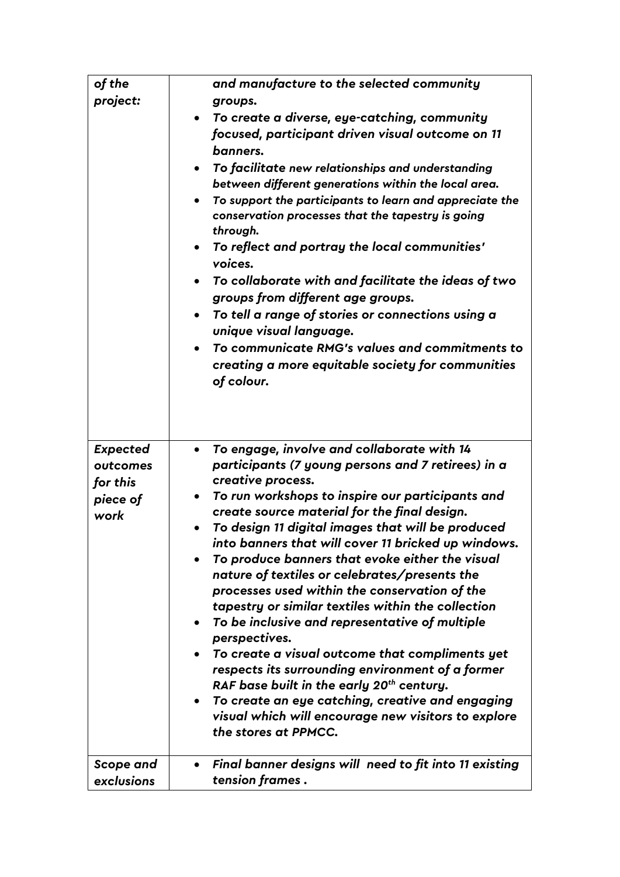| of the<br>project:                                          | and manufacture to the selected community<br>groups.<br>• To create a diverse, eye-catching, community<br>focused, participant driven visual outcome on 11<br>banners.<br>To facilitate new relationships and understanding<br>$\bullet$<br>between different generations within the local area.<br>To support the participants to learn and appreciate the<br>conservation processes that the tapestry is going<br>through.                                                                                                                                                                                                                                                                                                                                                                                                                                                                                                                                  |
|-------------------------------------------------------------|---------------------------------------------------------------------------------------------------------------------------------------------------------------------------------------------------------------------------------------------------------------------------------------------------------------------------------------------------------------------------------------------------------------------------------------------------------------------------------------------------------------------------------------------------------------------------------------------------------------------------------------------------------------------------------------------------------------------------------------------------------------------------------------------------------------------------------------------------------------------------------------------------------------------------------------------------------------|
|                                                             | To reflect and portray the local communities'<br>$\bullet$<br>voices.<br>To collaborate with and facilitate the ideas of two<br>groups from different age groups.<br>To tell a range of stories or connections using a<br>$\bullet$<br>unique visual language.<br>To communicate RMG's values and commitments to<br>$\bullet$<br>creating a more equitable society for communities<br>of colour.                                                                                                                                                                                                                                                                                                                                                                                                                                                                                                                                                              |
| <b>Expected</b><br>outcomes<br>for this<br>piece of<br>work | To engage, involve and collaborate with 14<br>$\bullet$<br>participants (7 young persons and 7 retirees) in a<br>creative process.<br>To run workshops to inspire our participants and<br>$\bullet$<br>create source material for the final design.<br>To design 11 digital images that will be produced<br>into banners that will cover 11 bricked up windows.<br>To produce banners that evoke either the visual<br>nature of textiles or celebrates/presents the<br>processes used within the conservation of the<br>tapestry or similar textiles within the collection<br>To be inclusive and representative of multiple<br>$\bullet$<br>perspectives.<br>To create a visual outcome that compliments yet<br>respects its surrounding environment of a former<br>RAF base built in the early 20 <sup>th</sup> century.<br>To create an eye catching, creative and engaging<br>visual which will encourage new visitors to explore<br>the stores at PPMCC. |
| Scope and<br>exclusions                                     | Final banner designs will need to fit into 11 existing<br>$\bullet$<br>tension frames.                                                                                                                                                                                                                                                                                                                                                                                                                                                                                                                                                                                                                                                                                                                                                                                                                                                                        |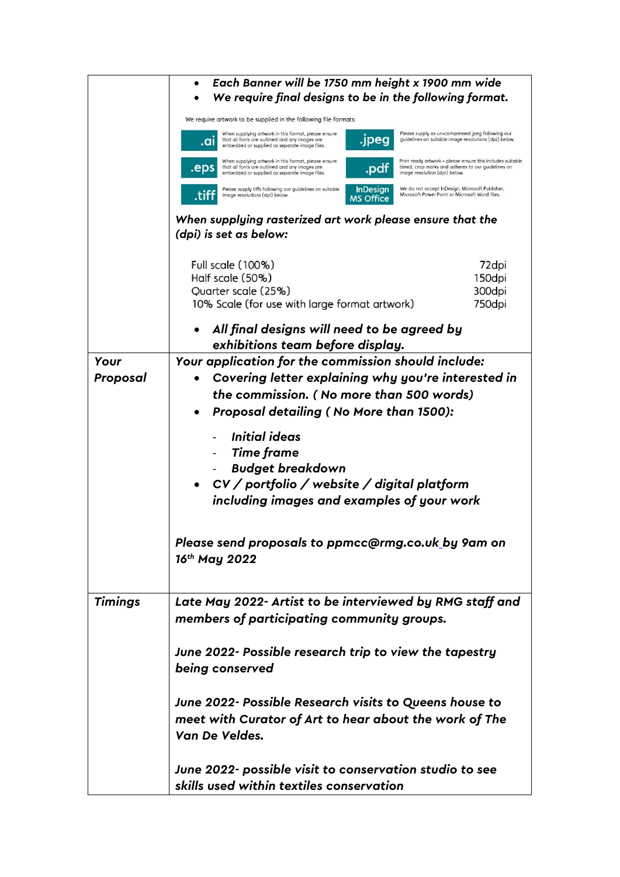| We require final designs to be in the following format.<br>We require artwork to be supplied in the following file formats:                                                                                                                                                                                                  |
|------------------------------------------------------------------------------------------------------------------------------------------------------------------------------------------------------------------------------------------------------------------------------------------------------------------------------|
|                                                                                                                                                                                                                                                                                                                              |
|                                                                                                                                                                                                                                                                                                                              |
| When supplying artwork in this format, please ensure<br>Please supply as un-compressed jpeg following our<br>.jpeg<br>guidelines on suitable image resolutions (dpi) below.<br>that all fonts are outlined and any images are<br>.aı<br>embedded or supplied as separate image files.                                        |
| Print ready artwork - please ensure this includes suitable<br>When supplying artwork in this format, please ensure<br>that all fonts are outlined and any images are<br>bleed, crop marks and adheres to our guidelines on<br>.eps<br>.par<br>embedded or supplied as separate image files.<br>image resolution (dpi) below. |
| We do not accept InDesign, Microsoft Publisher,<br>Please supply tiffs following our guidelines on suitable<br><b>InDesign</b><br>Microsoft Power Point or Microsoft Word files.<br>image resolutions (dpi) below.<br><b>MS Office</b>                                                                                       |
| When supplying rasterized art work please ensure that the                                                                                                                                                                                                                                                                    |
| (dpi) is set as below:                                                                                                                                                                                                                                                                                                       |
|                                                                                                                                                                                                                                                                                                                              |
| Full scale (100%)<br>72dpi                                                                                                                                                                                                                                                                                                   |
| Half scale (50%)<br>150dpi                                                                                                                                                                                                                                                                                                   |
| Quarter scale (25%)<br>300dpi                                                                                                                                                                                                                                                                                                |
| 10% Scale (for use with large format artwork)<br>750dpi                                                                                                                                                                                                                                                                      |
| All final designs will need to be agreed by                                                                                                                                                                                                                                                                                  |
| exhibitions team before display.                                                                                                                                                                                                                                                                                             |
| Your application for the commission should include:<br>Your                                                                                                                                                                                                                                                                  |
| Covering letter explaining why you're interested in<br>Proposal                                                                                                                                                                                                                                                              |
| the commission. (No more than 500 words)                                                                                                                                                                                                                                                                                     |
|                                                                                                                                                                                                                                                                                                                              |
| Proposal detailing (No More than 1500):                                                                                                                                                                                                                                                                                      |
| Initial ideas                                                                                                                                                                                                                                                                                                                |
| <b>Time frame</b>                                                                                                                                                                                                                                                                                                            |
| <b>Budget breakdown</b>                                                                                                                                                                                                                                                                                                      |
| CV / portfolio / website / digital platform                                                                                                                                                                                                                                                                                  |
| including images and examples of your work                                                                                                                                                                                                                                                                                   |
|                                                                                                                                                                                                                                                                                                                              |
| Please send proposals to ppmcc@rmg.co.uk_by 9am on                                                                                                                                                                                                                                                                           |
| 16th May 2022                                                                                                                                                                                                                                                                                                                |
|                                                                                                                                                                                                                                                                                                                              |
|                                                                                                                                                                                                                                                                                                                              |
| <b>Timings</b><br>Late May 2022- Artist to be interviewed by RMG staff and                                                                                                                                                                                                                                                   |
| members of participating community groups.                                                                                                                                                                                                                                                                                   |
| June 2022- Possible research trip to view the tapestry                                                                                                                                                                                                                                                                       |
| being conserved                                                                                                                                                                                                                                                                                                              |
|                                                                                                                                                                                                                                                                                                                              |
| June 2022- Possible Research visits to Queens house to                                                                                                                                                                                                                                                                       |
| meet with Curator of Art to hear about the work of The                                                                                                                                                                                                                                                                       |
| Van De Veldes.                                                                                                                                                                                                                                                                                                               |
| June 2022- possible visit to conservation studio to see                                                                                                                                                                                                                                                                      |
| skills used within textiles conservation                                                                                                                                                                                                                                                                                     |